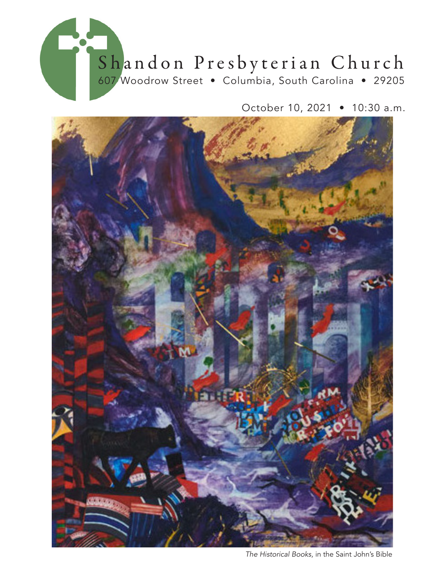

# October 10, 2021 • 10:30 a.m.



*The Historical Books,* in the Saint John's Bible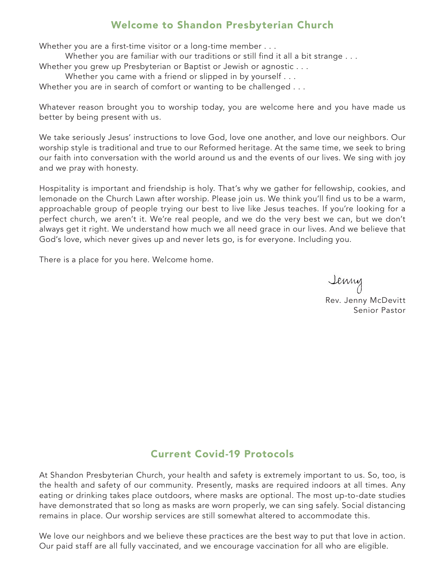## Welcome to Shandon Presbyterian Church

Whether you are a first-time visitor or a long-time member . . .

Whether you are familiar with our traditions or still find it all a bit strange . . .

Whether you grew up Presbyterian or Baptist or Jewish or agnostic . . .

Whether you came with a friend or slipped in by yourself . . .

Whether you are in search of comfort or wanting to be challenged . . .

Whatever reason brought you to worship today, you are welcome here and you have made us better by being present with us.

We take seriously Jesus' instructions to love God, love one another, and love our neighbors. Our worship style is traditional and true to our Reformed heritage. At the same time, we seek to bring our faith into conversation with the world around us and the events of our lives. We sing with joy and we pray with honesty.

Hospitality is important and friendship is holy. That's why we gather for fellowship, cookies, and lemonade on the Church Lawn after worship. Please join us. We think you'll find us to be a warm, approachable group of people trying our best to live like Jesus teaches. If you're looking for a perfect church, we aren't it. We're real people, and we do the very best we can, but we don't always get it right. We understand how much we all need grace in our lives. And we believe that God's love, which never gives up and never lets go, is for everyone. Including you.

There is a place for you here. Welcome home.

Jenny Rev. Jenny McDevitt Senior Pastor

## Current Covid-19 Protocols

At Shandon Presbyterian Church, your health and safety is extremely important to us. So, too, is the health and safety of our community. Presently, masks are required indoors at all times. Any eating or drinking takes place outdoors, where masks are optional. The most up-to-date studies have demonstrated that so long as masks are worn properly, we can sing safely. Social distancing remains in place. Our worship services are still somewhat altered to accommodate this.

We love our neighbors and we believe these practices are the best way to put that love in action. Our paid staff are all fully vaccinated, and we encourage vaccination for all who are eligible.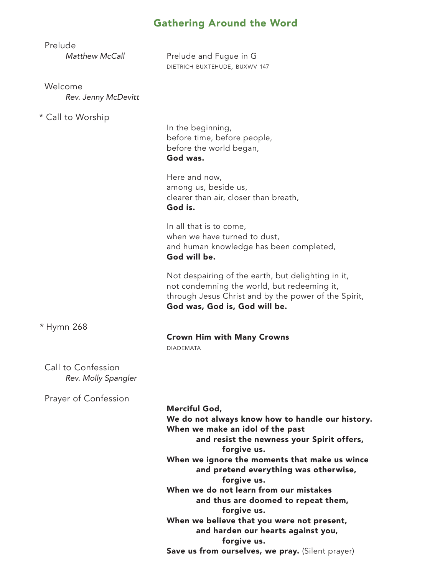# Gathering Around the Word

| Prelude<br>Matthew McCall                 | Prelude and Fugue in G<br>DIETRICH BUXTEHUDE, BUXWV 147                                                                                                                                    |
|-------------------------------------------|--------------------------------------------------------------------------------------------------------------------------------------------------------------------------------------------|
| Welcome<br>Rev. Jenny McDevitt            |                                                                                                                                                                                            |
| * Call to Worship                         |                                                                                                                                                                                            |
|                                           | In the beginning,<br>before time, before people,<br>before the world began,<br>God was.                                                                                                    |
|                                           | Here and now,<br>among us, beside us,<br>clearer than air, closer than breath,<br>God is.                                                                                                  |
|                                           | In all that is to come,<br>when we have turned to dust,<br>and human knowledge has been completed,<br>God will be.                                                                         |
|                                           | Not despairing of the earth, but delighting in it,<br>not condemning the world, but redeeming it,<br>through Jesus Christ and by the power of the Spirit,<br>God was, God is, God will be. |
| * Hymn 268                                |                                                                                                                                                                                            |
|                                           | <b>Crown Him with Many Crowns</b><br><b>DIADEMATA</b>                                                                                                                                      |
| Call to Confession<br>Rev. Molly Spangler |                                                                                                                                                                                            |
| Prayer of Confession                      |                                                                                                                                                                                            |
|                                           | <b>Merciful God,</b><br>We do not always know how to handle our history.<br>When we make an idol of the past<br>and resist the newness your Spirit offers,<br>forgive us.                  |
|                                           | When we ignore the moments that make us wince<br>and pretend everything was otherwise,<br>forgive us.                                                                                      |
|                                           | When we do not learn from our mistakes<br>and thus are doomed to repeat them,                                                                                                              |
|                                           | forgive us.<br>When we believe that you were not present,<br>and harden our hearts against you,<br>forgive us.                                                                             |
|                                           | Save us from ourselves, we pray. (Silent prayer)                                                                                                                                           |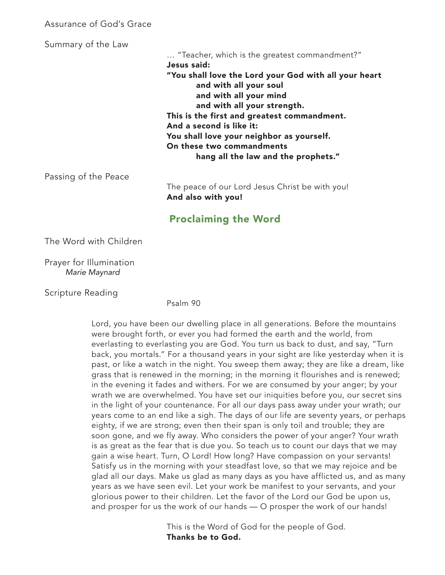### Assurance of God's Grace

 Summary of the Law … "Teacher, which is the greatest commandment?" Jesus said: "You shall love the Lord your God with all your heart and with all your soul and with all your mind and with all your strength. This is the first and greatest commandment. And a second is like it: You shall love your neighbor as yourself. On these two commandments hang all the law and the prophets."

Passing of the Peace

The peace of our Lord Jesus Christ be with you! And also with you!

## Proclaiming the Word

The Word with Children

 Prayer for Illumination *Marie Maynard*

Scripture Reading

#### Psalm 90

Lord, you have been our dwelling place in all generations. Before the mountains were brought forth, or ever you had formed the earth and the world, from everlasting to everlasting you are God. You turn us back to dust, and say, "Turn back, you mortals." For a thousand years in your sight are like yesterday when it is past, or like a watch in the night. You sweep them away; they are like a dream, like grass that is renewed in the morning; in the morning it flourishes and is renewed; in the evening it fades and withers. For we are consumed by your anger; by your wrath we are overwhelmed. You have set our iniquities before you, our secret sins in the light of your countenance. For all our days pass away under your wrath; our years come to an end like a sigh. The days of our life are seventy years, or perhaps eighty, if we are strong; even then their span is only toil and trouble; they are soon gone, and we fly away. Who considers the power of your anger? Your wrath is as great as the fear that is due you. So teach us to count our days that we may gain a wise heart. Turn, O Lord! How long? Have compassion on your servants! Satisfy us in the morning with your steadfast love, so that we may rejoice and be glad all our days. Make us glad as many days as you have afflicted us, and as many years as we have seen evil. Let your work be manifest to your servants, and your glorious power to their children. Let the favor of the Lord our God be upon us, and prosper for us the work of our hands — O prosper the work of our hands!

> This is the Word of God for the people of God. Thanks be to God.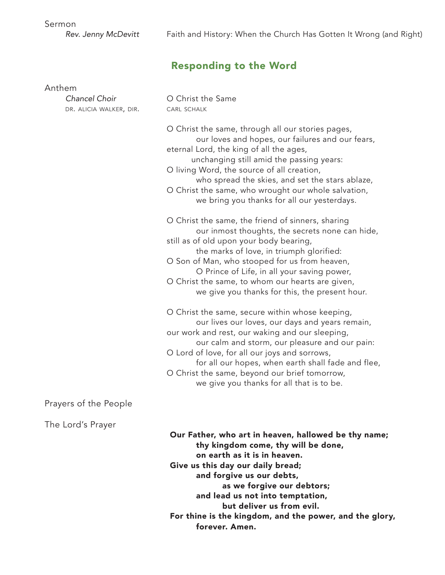Faith and History: When the Church Has Gotten It Wrong (and Right)

# Responding to the Word

| The Lord's Prayer                                  | Our Father, who art in heaven, hallowed be thy name;<br>thy kingdom come, thy will be done,<br>on earth as it is in heaven.<br>Give us this day our daily bread;<br>and forgive us our debts,<br>as we forgive our debtors;<br>and lead us not into temptation,<br>but deliver us from evil.                                                                                                                 |
|----------------------------------------------------|--------------------------------------------------------------------------------------------------------------------------------------------------------------------------------------------------------------------------------------------------------------------------------------------------------------------------------------------------------------------------------------------------------------|
| Prayers of the People                              |                                                                                                                                                                                                                                                                                                                                                                                                              |
|                                                    | O Christ the same, secure within whose keeping,<br>our lives our loves, our days and years remain,<br>our work and rest, our waking and our sleeping,<br>our calm and storm, our pleasure and our pain:<br>O Lord of love, for all our joys and sorrows,<br>for all our hopes, when earth shall fade and flee,<br>O Christ the same, beyond our brief tomorrow,<br>we give you thanks for all that is to be. |
|                                                    | O Christ the same, the friend of sinners, sharing<br>our inmost thoughts, the secrets none can hide,<br>still as of old upon your body bearing,<br>the marks of love, in triumph glorified:<br>O Son of Man, who stooped for us from heaven,<br>O Prince of Life, in all your saving power,<br>O Christ the same, to whom our hearts are given,<br>we give you thanks for this, the present hour.            |
|                                                    | O Christ the same, through all our stories pages,<br>our loves and hopes, our failures and our fears,<br>eternal Lord, the king of all the ages,<br>unchanging still amid the passing years:<br>O living Word, the source of all creation,<br>who spread the skies, and set the stars ablaze,<br>O Christ the same, who wrought our whole salvation,<br>we bring you thanks for all our yesterdays.          |
| Anthem<br>Chancel Choir<br>DR. ALICIA WALKER, DIR. | O Christ the Same<br>CARL SCHALK                                                                                                                                                                                                                                                                                                                                                                             |
|                                                    |                                                                                                                                                                                                                                                                                                                                                                                                              |

 For thine is the kingdom, and the power, and the glory, forever. Amen.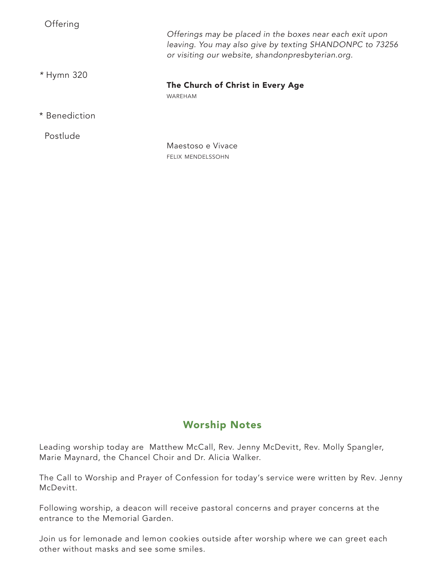| Offering      |                                                                                                                                                                           |
|---------------|---------------------------------------------------------------------------------------------------------------------------------------------------------------------------|
|               | Offerings may be placed in the boxes near each exit upon<br>leaving. You may also give by texting SHANDONPC to 73256<br>or visiting our website, shandonpresbyterian.org. |
| * Hymn 320    |                                                                                                                                                                           |
|               | The Church of Christ in Every Age                                                                                                                                         |
|               | <b>WAREHAM</b>                                                                                                                                                            |
| * Benediction |                                                                                                                                                                           |
| Postlude      |                                                                                                                                                                           |
|               | Maestoso e Vivace                                                                                                                                                         |
|               | <b>FELIX MENDELSSOHN</b>                                                                                                                                                  |

## Worship Notes

Leading worship today are Matthew McCall, Rev. Jenny McDevitt, Rev. Molly Spangler, Marie Maynard, the Chancel Choir and Dr. Alicia Walker.

The Call to Worship and Prayer of Confession for today's service were written by Rev. Jenny McDevitt.

Following worship, a deacon will receive pastoral concerns and prayer concerns at the entrance to the Memorial Garden.

Join us for lemonade and lemon cookies outside after worship where we can greet each other without masks and see some smiles.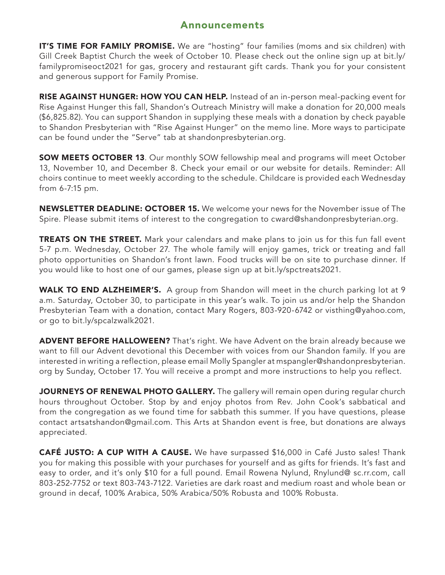### Announcements

IT'S TIME FOR FAMILY PROMISE. We are "hosting" four families (moms and six children) with Gill Creek Baptist Church the week of October 10. Please check out the online sign up at bit.ly/ familypromiseoct2021 for gas, grocery and restaurant gift cards. Thank you for your consistent and generous support for Family Promise.

RISE AGAINST HUNGER: HOW YOU CAN HELP. Instead of an in-person meal-packing event for Rise Against Hunger this fall, Shandon's Outreach Ministry will make a donation for 20,000 meals (\$6,825.82). You can support Shandon in supplying these meals with a donation by check payable to Shandon Presbyterian with "Rise Against Hunger" on the memo line. More ways to participate can be found under the "Serve" tab at shandonpresbyterian.org.

SOW MEETS OCTOBER 13. Our monthly SOW fellowship meal and programs will meet October 13, November 10, and December 8. Check your email or our website for details. Reminder: All choirs continue to meet weekly according to the schedule. Childcare is provided each Wednesday from 6-7:15 pm.

NEWSLETTER DEADLINE: OCTOBER 15. We welcome your news for the November issue of The Spire. Please submit items of interest to the congregation to cward@shandonpresbyterian.org.

**TREATS ON THE STREET.** Mark your calendars and make plans to join us for this fun fall event 5-7 p.m. Wednesday, October 27. The whole family will enjoy games, trick or treating and fall photo opportunities on Shandon's front lawn. Food trucks will be on site to purchase dinner. If you would like to host one of our games, please sign up at bit.ly/spctreats2021.

**WALK TO END ALZHEIMER'S.** A group from Shandon will meet in the church parking lot at 9 a.m. Saturday, October 30, to participate in this year's walk. To join us and/or help the Shandon Presbyterian Team with a donation, contact Mary Rogers, 803-920-6742 or visthing@yahoo.com, or go to bit.ly/spcalzwalk2021.

ADVENT BEFORE HALLOWEEN? That's right. We have Advent on the brain already because we want to fill our Advent devotional this December with voices from our Shandon family. If you are interested in writing a reflection, please email Molly Spangler at mspangler@shandonpresbyterian. org by Sunday, October 17. You will receive a prompt and more instructions to help you reflect.

JOURNEYS OF RENEWAL PHOTO GALLERY. The gallery will remain open during regular church hours throughout October. Stop by and enjoy photos from Rev. John Cook's sabbatical and from the congregation as we found time for sabbath this summer. If you have questions, please contact artsatshandon@gmail.com. This Arts at Shandon event is free, but donations are always appreciated.

CAFÉ JUSTO: A CUP WITH A CAUSE. We have surpassed \$16,000 in Café Justo sales! Thank you for making this possible with your purchases for yourself and as gifts for friends. It's fast and easy to order, and it's only \$10 for a full pound. Email Rowena Nylund, Rnylund@ sc.rr.com, call 803-252-7752 or text 803-743-7122. Varieties are dark roast and medium roast and whole bean or ground in decaf, 100% Arabica, 50% Arabica/50% Robusta and 100% Robusta.